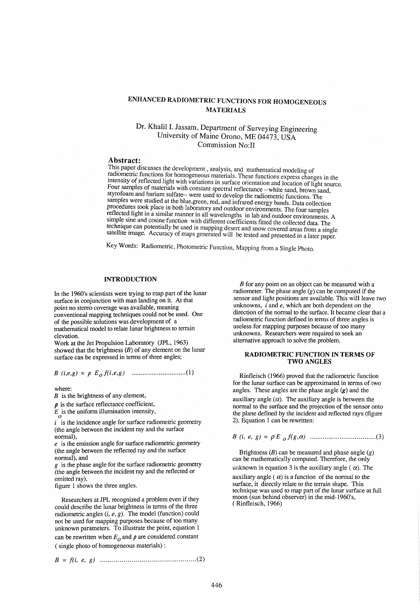# ENHANCED RADIOMETRIC FUNCTIONS FOR HOMOGENEOUS MATERIALS

## Dr. Khalil I. Jassam, Department of Surveying Engineering University of Maine Orono, ME 04473, USA Commission No:II

#### Abstract:

This paper discusses the development, analysis, and mathematical modeling of radiometric functions for homogeneous materials. These functions express changes in the intensity of reflected light with variations in surface orientation and location of light source. Four samples of materials with constant spectral reflectance --white sand, brown sand, styrofoam and barium sulfate-- were used to develop the radiometric functions. The samples were studied at the blue,green, red, and infrared energy bands. Data collection procedures took place in both laboratory and outdoor environments. The four samples reflected light in a similar manner in all wavelengths in lab and outdoor environments. A simple sine and cosine function with different coefficients fitted the collected data. The technique can potentially be used in mapping desert and snow covered areas from a single satellite image. Accuracy of maps generated will be tested and presented in a later paper.

Key Words: Radiometric, Photometric Function, Mapping from a Single Photo.

## INTRODUCTION

In the 1960's scientists were trying to map part of the lunar surface in conjunction with man landing on it. At that point no stereo coverage was available, meaning conventional mapping techniques could not be used. One of the possible solutions was development of a mathematical model to relate lunar brightness to terrain elevation.

Work at the Jet Propulsion Laboratory (JPL, 1963) showed that the brightness  $(B)$  of any element on the lunar surface can be expressed in terms of three angles;

*B (i,e,g)* = *p Eof(i,e,g) ..............................* (1)

where:

 $B$  is the brightness of any element,

 $\rho$  is the surface reflectance coefficient,

 $E_{\odot}$  is the uniform illumination intensity,

*i* is the incidence angle for surface radiometric geometry (the angle between the incident ray and the surface

normal),  $e$  is the emission angle for surface radiometric geometry (the angle between the reflected ray and the surface normal), and

*g* is the phase angle for the surface radiometric geometry (the angle between the incident ray and the reflected or emitted ray).

figure 1 shows the three angles.

Researchers at JPL recognized a problem even if they could describe the lunar brightness in terms of the three radiometric angles (*i*, *e*, *g*). The model (function) could not be used for mapping purposes because of too many unknown parameters. To illustrate the point, equation 1 can be rewritten when  $E_0$  and  $\rho$  are considered constant ( single photo of homogeneous materials) :

$$
B = f(i, e, g) \quad \dots \quad \dots \quad \dots \quad \dots \quad \dots \quad \dots \quad (2)
$$

 $B$  for any point on an object can be measured with a radiometer. The phase angle  $(g)$  can be computed if the sensor and light positions are available. This will leave two unknowns, *i* and *e,* which are both dependent on the direction of the normal to the surface. It became clear that a radiometric function defined in terms of three angles is useless for mapping purposes because of too many unknowns. Researchers were required to seek an alternative approach to solve the problem.

#### RADIOMETRIC FUNCTION IN TERMS OF TWO ANGLES

Rinfleisch (1966) proved that the radiometric function for the lunar surface can be approximated in terms of two angles. These angles are the phase angle  $(g)$  and the auxiliary angle  $(\alpha)$ . The auxiliary angle is between the normal to the surface and the projection of the sensor onto the plane defined by the incident and reflected rays (figure 2). Equation 1 can be rewritten:

<sup>B</sup>*(i,* e, g) = pE o *f(g,* a) ................................... (3)

Brightness  $(B)$  can be measured and phase angle  $(g)$ can be mathematically computed. Therefore, the only unknown in equation 3 is the auxiliary angle ( $\alpha$ ). The

auxiliary angle ( $\alpha$ ) is a function of the normal to the surface, it directly relate to the terrain shape. This technique was used to map part of the lunar surface at full moon (sun behind observer) in the mid-1960's, ( Rinfleisch, 1966)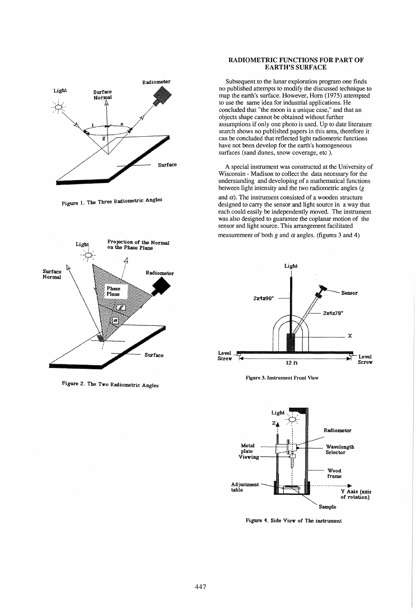

Figure 1. The Three Radiometric Angles



Figure 2. The Tvo Radiometric Angles

#### RADIOMETRIC FUNCTIONS FOR PART OF EARTH'S SURFACE

Subsequent to the lunar exploration program one finds no published attempts to modify the discussed technique to map the earth's surface. However, Horn (1975) attempted to use the same idea for industrial applications. He concluded that "the moon is a unique case," and that an objects shape cannot be obtained without further assumptions if only one photo is used. Up to date literature search shows no published papers in this area, therefore it can be concluded that reflected light radiometric functions have not been develop for the earth's homogeneous surfaces (sand dunes, snow coverage, etc).

A special instrument was constructed at the University of Wisconsin - Madison to collect the data necessary for the understanding and developing of a mathematical functions between light intensity and the two radiometric angles (g

and  $\alpha$ ). The instrument consisted of a wooden structure designed to carry the sensor and light source in a way that each could easily be independently moved. The instrument was also designed to guarantee the coplanar motion of the sensor and light source. This arrangement facilitated measurement of both  $g$  and  $\alpha$  angles. (figures 3 and 4)



Figure 3. Instrument Front View



Figure 4. Side View of The instrument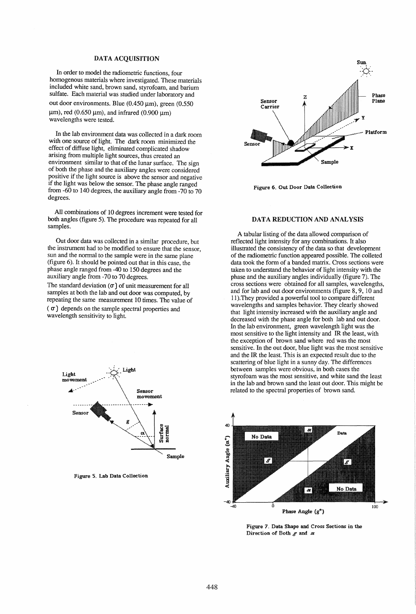#### DATA ACQUISITION

In order to model the radiometric functions, four homogenous materials where investigated. These materials included white sand, brown sand, styrofoam, and barium sulfate. Each material was studied under laboratory and out door environments. Blue (0.450  $\mu$ m), green (0.550  $\mu$ m), red (0.650  $\mu$ m), and infrared (0.900  $\mu$ m) wavelengths were tested.

In the lab environment data was collected in a dark room with one source of light. The dark room minimized the effect of diffuse light, eliminated complicated shadow arising from multiple light sources, thus created an environment similar to that of the lunar surface. The sign of both the phase and the auxiliary angles were considered positive if the light source is above the sensor and negative if the light was below the sensor. The phase angle ranged from -60 to 140 degrees, the auxiliary angle from -70 to 70 degrees.

All combinations of 10 degrees increment were tested for both angles (figure 5). The procedure was repeated for all samples.

Out door data was collected in a similar procedure, but the instrument had to be modified to ensure that the sensor, sun and the normal to the sample were in the same plane (figure 6). It should be pointed out that in this case, the phase angle ranged from -40 to 150 degrees and the auxiliary angle from -70 to 70 degrees.

The standard deviation  $(\sigma)$  of unit measurement for all samples at both the lab and out door was computed, by repeating the same measurement 10 times. The value of  $(\sigma)$  depends on the sample spectral properties and wavelength sensitivity to light.



Figure 5. Lab Data Collection



Figure 6. Out Door Data Collection

#### DATA REDUCTION AND ANALYSIS

A tabular listing of the data allowed comparison of reflected light intensity for any combinations. It also illustrated the consistency of the data so that development of the radiometric function appeared possible. The colleted data took the form of a banded matrix. Cross sections were taken to understand the behavior of light intensity with the phase and the auxiliary angles individually (figure 7). The cross sections were obtained for all samples, wavelengths, and for lab and out door environments (figure 8,9, 10 and 11). They provided a powerful tool to compare different wavelengths and samples behavior. They clearly showed that light intensity increased with the auxiliary angle and decreased with the phase angle for both lab and out door. In the lab environment, green wavelength light was the most sensitive to the light intensity and IR the least, with the exception of brown sand where red was the most sensitive. In the out door, blue light was the most sensitive and the IR the least. This is an expected result due to the scattering of blue light in a sunny day. The differences between samples were obvious, in both cases the styrofoam was the most sensitive, and white sand the least in the lab and brown sand the least out door. This might be related to the spectral properties of brown sand.



Figure 7. Data Shape and Cross Sections in the Direction of Both  $g$  and  $\alpha$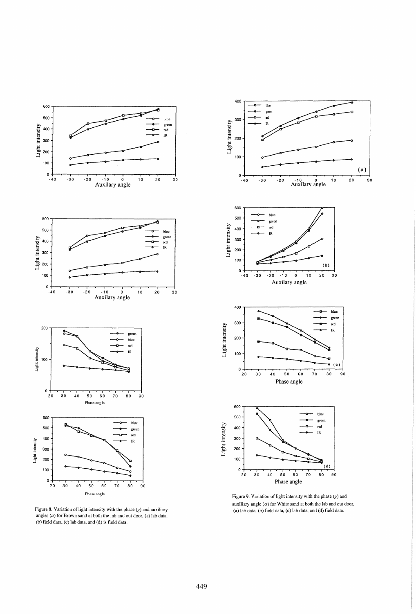

Figure 8. Variation of light intensity with the phase (g) and auxiliary (a) the state of the data, (b) field data, (c) lab data, and (d) field data. And (d) field data. And (d) field data. And (d) field data. And (d) field (b) field data, (c) lab data, and (d) is field data.



auxiliary angle  $(\alpha)$  for White sand at both the lab and out door,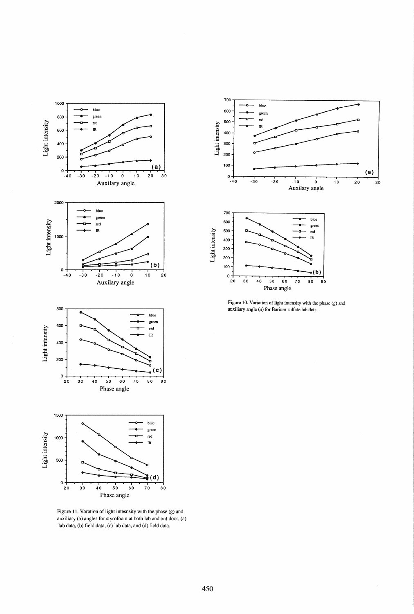

Figure 11. Varation of light intesnsity with the phase (g) and auxiliary (a) angles for styrofoam at both lab and out door, (a) lab data, (b) field data, (c) lab data, and (d) field data.





Figure 10. Variation of light intensity with the phase (g) and auxiliary angle (a) for Barium sulfate lab data.